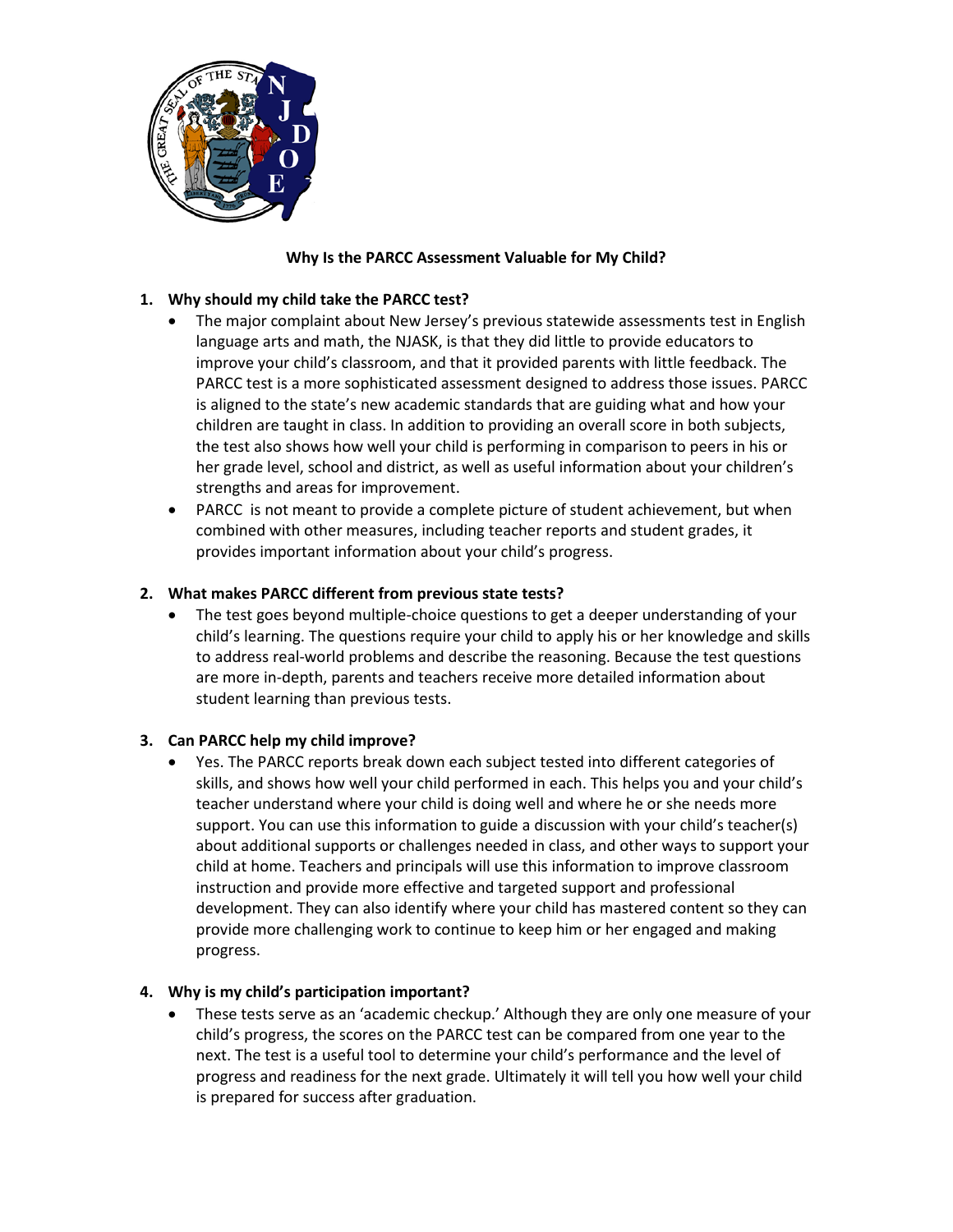

## **Why Is the PARCC Assessment Valuable for My Child?**

# **1. Why should my child take the PARCC test?**

- The major complaint about New Jersey's previous statewide assessments test in English language arts and math, the NJASK, is that they did little to provide educators to improve your child's classroom, and that it provided parents with little feedback. The PARCC test is a more sophisticated assessment designed to address those issues. PARCC is aligned to the state's new academic standards that are guiding what and how your children are taught in class. In addition to providing an overall score in both subjects, the test also shows how well your child is performing in comparison to peers in his or her grade level, school and district, as well as useful information about your children's strengths and areas for improvement.
- PARCC is not meant to provide a complete picture of student achievement, but when combined with other measures, including teacher reports and student grades, it provides important information about your child's progress.

## **2. What makes PARCC different from previous state tests?**

• The test goes beyond multiple-choice questions to get a deeper understanding of your child's learning. The questions require your child to apply his or her knowledge and skills to address real-world problems and describe the reasoning. Because the test questions are more in-depth, parents and teachers receive more detailed information about student learning than previous tests.

### **3. Can PARCC help my child improve?**

• Yes. The PARCC reports break down each subject tested into different categories of skills, and shows how well your child performed in each. This helps you and your child's teacher understand where your child is doing well and where he or she needs more support. You can use this information to guide a discussion with your child's teacher(s) about additional supports or challenges needed in class, and other ways to support your child at home. Teachers and principals will use this information to improve classroom instruction and provide more effective and targeted support and professional development. They can also identify where your child has mastered content so they can provide more challenging work to continue to keep him or her engaged and making progress.

### **4. Why is my child's participation important?**

• These tests serve as an 'academic checkup.' Although they are only one measure of your child's progress, the scores on the PARCC test can be compared from one year to the next. The test is a useful tool to determine your child's performance and the level of progress and readiness for the next grade. Ultimately it will tell you how well your child is prepared for success after graduation.